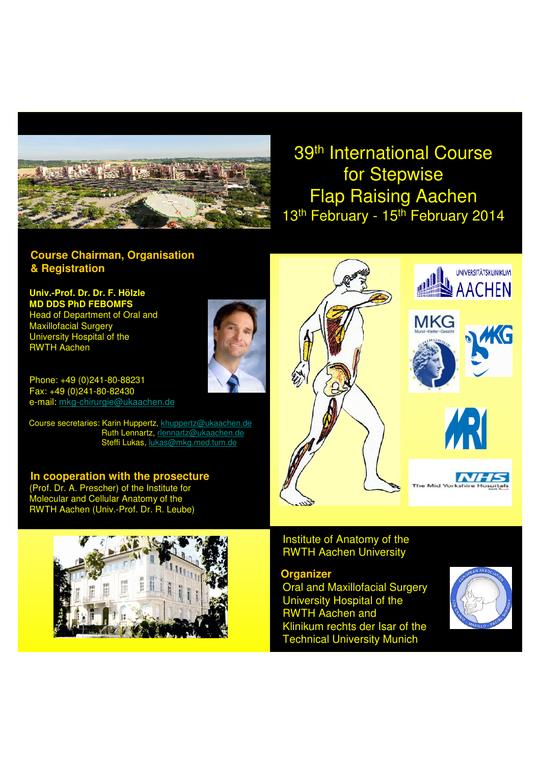

# 39th International Course for Stepwise Flap Raising Aachen 13<sup>th</sup> February - 15<sup>th</sup> February 2014

# **Course Chairman, Organisation & Registration**

**Univ.-Prof. Dr. Dr. F. Hölzle MD DDS PhD FEBOMFS** Head of Department of Oral and Maxillofacial Surgery University Hospital of the RWTH Aachen

Phone: +49 (0)241-80-88231 Fax: +49 (0)241-80-82430 e-mail: mkg-chirurgie@ukaachen.de

Course secretaries: Karin Huppertz, khuppertz@ukaachen.de Ruth Lennartz, rlennartz@ukaachen.de Steffi Lukas, lukas@mkg.med.tum.de

**In cooperation with the prosecture** (Prof. Dr. A. Prescher) of the Institute for Molecular and Cellular Anatomy of the RWTH Aachen (Univ.-Prof. Dr. R. Leube)















The MOT

**NHS** 

Institute of Anatomy of the RWTH Aachen University

## **Organizer**

Oral and Maxillofacial Surgery University Hospital of the RWTH Aachen and Klinikum rechts der Isar of the Technical University Munich